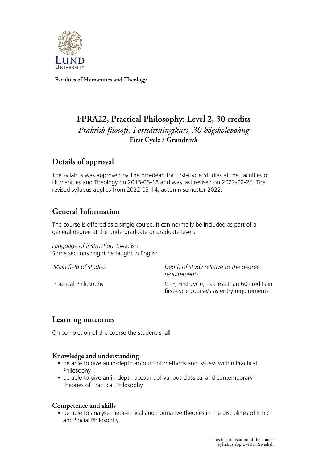

**Faculties of Humanities and Theology**

# **FPRA22, Practical Philosophy: Level 2, 30 credits** *Praktisk filosofi: Fortsättningskurs, 30 högskolepoäng* **First Cycle / Grundnivå**

## **Details of approval**

The syllabus was approved by The pro-dean for First-Cycle Studies at the Faculties of Humanities and Theology on 2015-05-18 and was last revised on 2022-02-25. The revised syllabus applies from 2022-03-14, autumn semester 2022.

# **General Information**

The course is offered as a single course. It can normally be included as part of a general degree at the undergraduate or graduate levels.

*Language of instruction:* Swedish Some sections might be taught in English.

*Main field of studies Depth of study relative to the degree requirements* Practical Philosophy G1F, First cycle, has less than 60 credits in first-cycle course/s as entry requirements

## **Learning outcomes**

On completion of the course the student shall

#### **Knowledge and understanding**

- be able to give an in-depth account of methods and issuess within Practical Philosophy
- be able to give an in-depth account of various classical and contemporary theories of Practical Philosophy

#### **Competence and skills**

• be able to analyse meta-ethical and normative theories in the disciplines of Ethics and Social Philosophy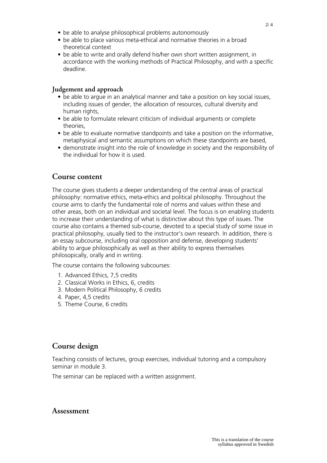- be able to analyse philosophical problems autonomously
- be able to place various meta-ethical and normative theories in a broad theoretical context
- be able to write and orally defend his/her own short written assignment, in accordance with the working methods of Practical Philosophy, and with a specific deadline.

#### **Judgement and approach**

- be able to argue in an analytical manner and take a position on key social issues, including issues of gender, the allocation of resources, cultural diversity and human rights,
- be able to formulate relevant criticism of individual arguments or complete theories,
- be able to evaluate normative standpoints and take a position on the informative, metaphysical and semantic assumptions on which these standpoints are based,
- demonstrate insight into the role of knowledge in society and the responsibility of the individual for how it is used.

#### **Course content**

The course gives students a deeper understanding of the central areas of practical philosophy: normative ethics, meta-ethics and political philosophy. Throughout the course aims to clarify the fundamental role of norms and values within these and other areas, both on an individual and societal level. The focus is on enabling students to increase their understanding of what is distinctive about this type of issues. The course also contains a themed sub-course, devoted to a special study of some issue in practical philosophy, usually tied to the instructor's own research. In addition, there is an essay subcourse, including oral opposition and defense, developing students' ability to argue philosophically as well as their ability to express themselves philosopically, orally and in writing.

The course contains the following subcourses:

- 1. Advanced Ethics, 7,5 credits
- 2. Classical Works in Ethics, 6, credits
- 3. Modern Political Philosophy, 6 credits
- 4. Paper, 4,5 credits
- 5. Theme Course, 6 credits

## **Course design**

Teaching consists of lectures, group exercises, individual tutoring and a compulsory seminar in module 3.

The seminar can be replaced with a written assignment.

#### **Assessment**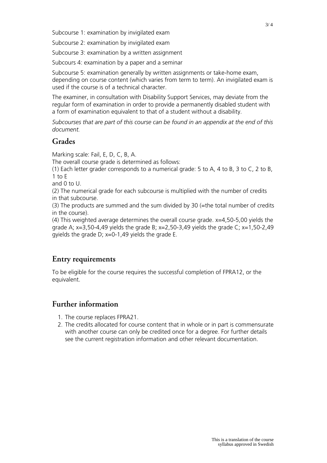Subcourse 1: examination by invigilated exam

Subcourse 2: examination by invigilated exam

Subcourse 3: examination by a written assignment

Subcours 4: examination by a paper and a seminar

Subcourse 5: examination generally by written assignments or take-home exam, depending on course content (which varies from term to term). An invigilated exam is used if the course is of a technical character.

The examiner, in consultation with Disability Support Services, may deviate from the regular form of examination in order to provide a permanently disabled student with a form of examination equivalent to that of a student without a disability.

*Subcourses that are part of this course can be found in an appendix at the end of this document.*

#### **Grades**

Marking scale: Fail, E, D, C, B, A.

The overall course grade is determined as follows:

(1) Each letter grader corresponds to a numerical grade: 5 to A, 4 to B, 3 to C, 2 to B,  $1$  to  $F$ 

and 0 to U.

(2) The numerical grade for each subcourse is multiplied with the number of credits in that subcourse.

(3) The products are summed and the sum divided by 30 (=the total number of credits in the course).

(4) This weighted average determines the overall course grade. x=4,50-5,00 yields the grade A;  $x=3,50-4,49$  yields the grade B;  $x=2,50-3,49$  yields the grade C;  $x=1,50-2,49$ gyields the grade D;  $x=0-1,49$  yields the grade E.

#### **Entry requirements**

To be eligible for the course requires the successful completion of FPRA12, or the equivalent.

### **Further information**

- 1. The course replaces FPRA21.
- 2. The credits allocated for course content that in whole or in part is commensurate with another course can only be credited once for a degree. For further details see the current registration information and other relevant documentation.